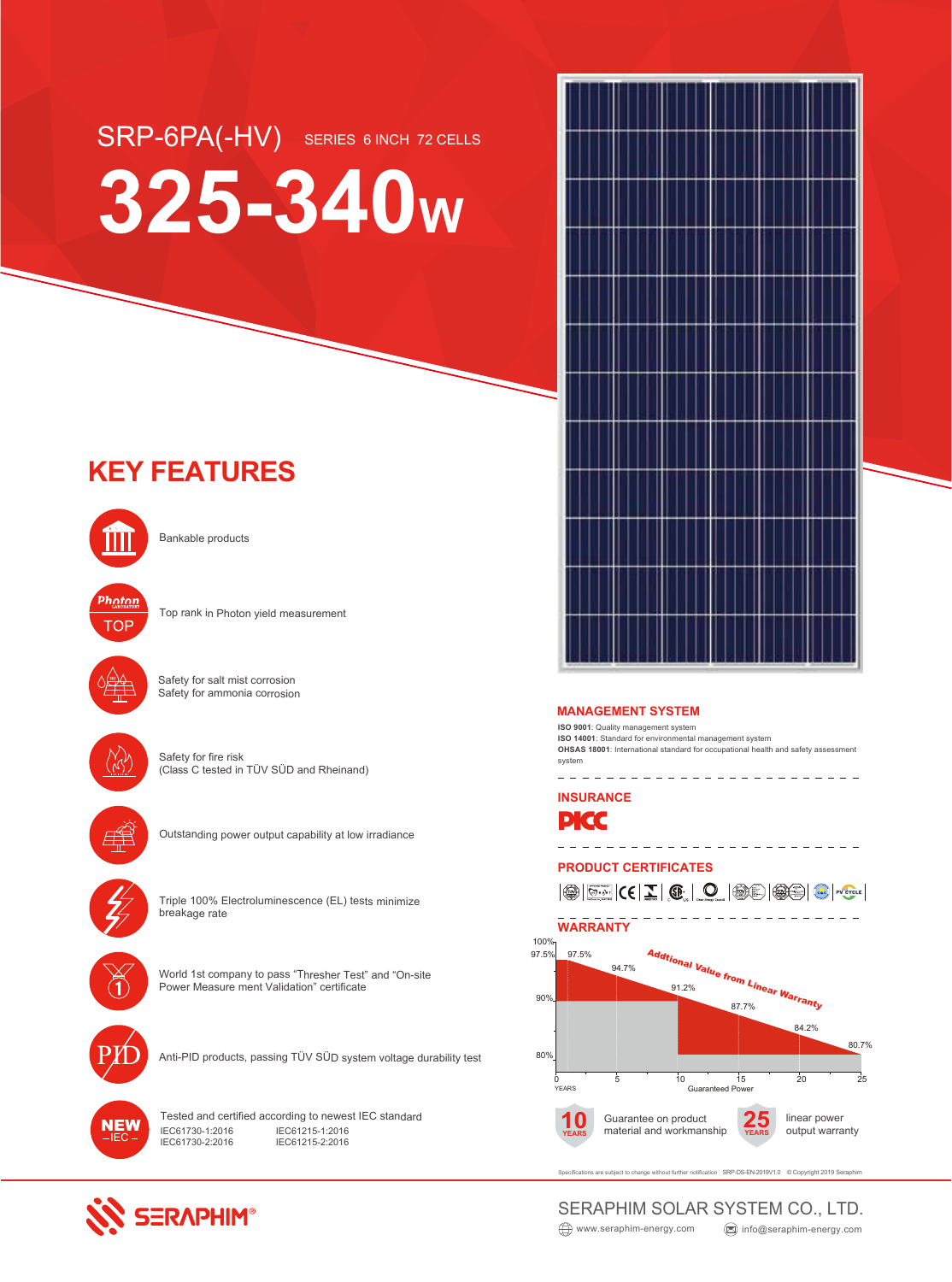# SRP-6PA(-HV) SERIES 6 INCH 72 CELLS **325-340<sup>W</sup>**

# **KEY FEATURES**



Bankable products



Top rank in Photon yield measurement



Safety for salt mist corrosion Safety for ammonia corrosion



Safety for fire risk (Class C tested in TÜV SÜD and Rheinand)



Outstanding power output capability at low irradiance



Triple 100% Electroluminescence (EL) tests minimize breakage rate



World 1st company to pass "Thresher Test" and "On-site Power Measure ment Validation" certificate



Anti-PID products, passing TÜV SÜD system voltage durability test



**SERAPHIM®** 

Tested and certified according to newest IEC standard IEC61730-1:2016 IEC61730-2:2016 IEC61215-1:2016 IEC61215-2:2016



**ISO 9001**: Quality management system **ISO 14001**: Standard for environmental management system **OHSAS 18001**: International standard for occupational health and safety assessment system \_\_\_\_\_\_\_\_\_\_\_\_\_\_\_\_\_\_\_\_\_\_\_\_\_

**INSURANCE**



### **PRODUCT CERTIFICATES**



subject to change without further notification SRP-DS-EN-2019V1.0 © Copyright 2019 Seraphin

#### www.seraphim-energy.com and info@seraphim-energy.com SERAPHIM SOLAR SYSTEM CO., LTD.